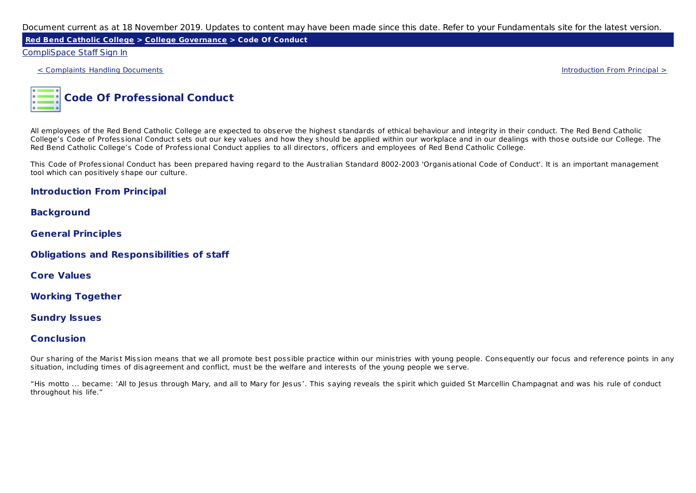**Red Bend Catholic College > College Governance > Code Of Conduct**

### CompliSpace Staff Sign In

< Complaints Handling Documents Introduction From Principal >



All employees of the Red Bend Catholic College are expected to observe the highest standards of ethical behaviour and integrity in their conduct. The Red Bend Catholic College's Code of Professional Conduct sets out our key values and how they should be applied within our workplace and in our dealings with those outside our College. The Red Bend Catholic College's Code of Professional Conduct applies to all directors, officers and employees of Red Bend Catholic College.

This Code of Professional Conduct has been prepared having regard to the Australian Standard 8002-2003 'Organisational Code of Conduct'. It is an important management tool which can positively shape our culture.

### **Introduction From Principal**

**Background**

**General Principles**

**Obligations and Responsibilities of staff**

**Core Values**

**Working Together**

**Sundry Issues**

### **Conclusion**

Our sharing of the Marist Mission means that we all promote best possible practice within our ministries with young people. Consequently our focus and reference points in any situation, including times of disagreement and conflict, must be the welfare and interests of the young people we serve.

"His motto ... became: 'All to Jesus through Mary, and all to Mary for Jesus'. This saying reveals the spirit which guided St Marcellin Champagnat and was his rule of conduct throughout his life."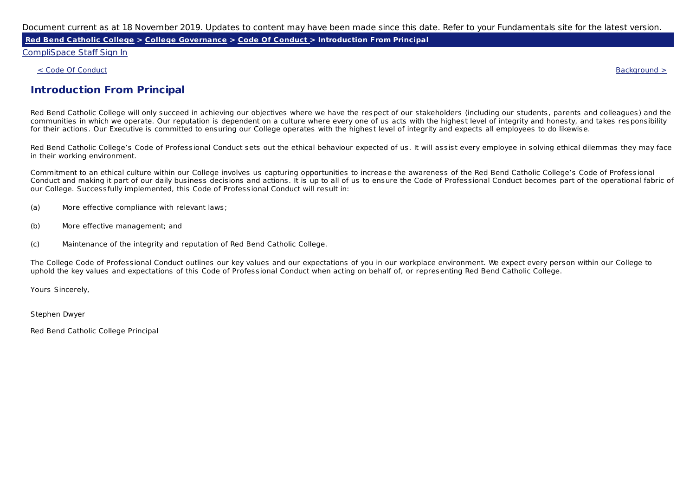**Red Bend Catholic College > College Governance > Code Of Conduct > Introduction From Principal**

CompliSpace Staff Sign In

 $\sim$  Code Of Conduct Background  $>$ 

## **Introduction From Principal**

Red Bend Catholic College will only succeed in achieving our objectives where we have the respect of our stakeholders (including our students, parents and colleagues) and the communities in which we operate. Our reputation is dependent on a culture where every one of us acts with the highest level of integrity and honesty, and takes responsibility for their actions. Our Executive is committed to ensuring our College operates with the highest level of integrity and expects all employees to do likewise.

Red Bend Catholic College's Code of Professional Conduct sets out the ethical behaviour expected of us. It will assist every employee in solving ethical dilemmas they may face in their working environment.

Commitment to an ethical culture within our College involves us capturing opportunities to increase the awareness of the Red Bend Catholic College's Code of Professional Conduct and making it part of our daily business decisions and actions. It is up to all of us to ensure the Code of Professional Conduct becomes part of the operational fabric of our College. Successfully implemented, this Code of Professional Conduct will result in:

- (a) More effective compliance with relevant laws;
- (b) More effective management; and
- (c) Maintenance of the integrity and reputation of Red Bend Catholic College.

The College Code of Professional Conduct outlines our key values and our expectations of you in our workplace environment. We expect every person within our College to uphold the key values and expectations of this Code of Professional Conduct when acting on behalf of, or representing Red Bend Catholic College.

Yours Sincerely,

Stephen Dwyer

Red Bend Catholic College Principal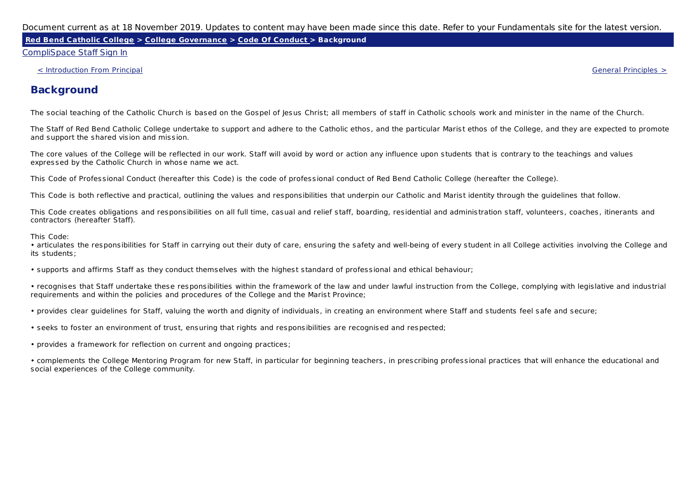**Red Bend Catholic College > College Governance > Code Of Conduct > Background**

#### CompliSpace Staff Sign In

< Introduction From Principal General Principles >

# **Background**

The social teaching of the Catholic Church is based on the Gospel of Jesus Christ; all members of staff in Catholic schools work and minister in the name of the Church.

The Staff of Red Bend Catholic College undertake to support and adhere to the Catholic ethos, and the particular Marist ethos of the College, and they are expected to promote and support the shared vision and mission.

The core values of the College will be reflected in our work. Staff will avoid by word or action any influence upon students that is contrary to the teachings and values expressed by the Catholic Church in whose name we act.

This Code of Professional Conduct (hereafter this Code) is the code of professional conduct of Red Bend Catholic College (hereafter the College).

This Code is both reflective and practical, outlining the values and responsibilities that underpin our Catholic and Marist identity through the guidelines that follow.

This Code creates obligations and responsibilities on all full time, casual and relief staff, boarding, residential and administration staff, volunteers, coaches, itinerants and contractors (hereafter Staff).

This Code:

• articulates the responsibilities for Staff in carrying out their duty of care, ensuring the safety and well-being of every student in all College activities involving the College and its students;

• supports and affirms Staff as they conduct themselves with the highest standard of professional and ethical behaviour;

• recognises that Staff undertake these responsibilities within the framework of the law and under lawful instruction from the College, complying with legislative and industrial requirements and within the policies and procedures of the College and the Marist Province;

• provides clear guidelines for Staff, valuing the worth and dignity of individuals, in creating an environment where Staff and students feel safe and secure;

• seeks to foster an environment of trust, ensuring that rights and responsibilities are recognised and respected;

• provides a framework for reflection on current and ongoing practices;

• complements the College Mentoring Program for new Staff, in particular for beginning teachers, in prescribing professional practices that will enhance the educational and social experiences of the College community.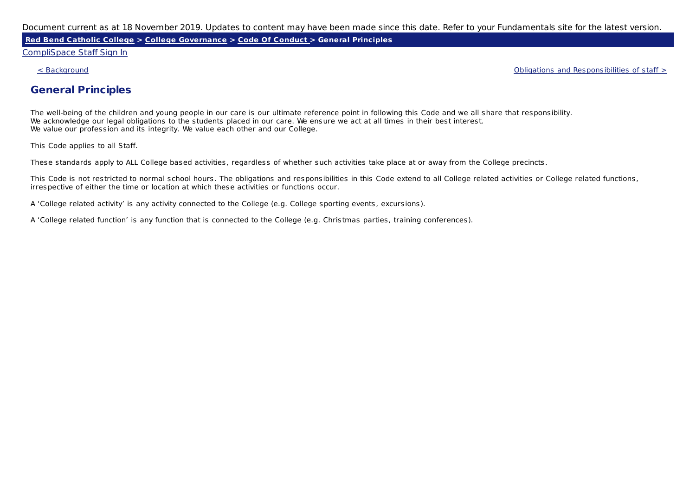**Red Bend Catholic College > College Governance > Code Of Conduct > General Principles**

#### CompliSpace Staff Sign In

< Background Obligations and Responsibilities of staff >

## **General Principles**

The well-being of the children and young people in our care is our ultimate reference point in following this Code and we all share that responsibility. We acknowledge our legal obligations to the students placed in our care. We ensure we act at all times in their best interest. We value our profession and its integrity. We value each other and our College.

This Code applies to all Staff.

These standards apply to ALL College based activities, regardless of whether such activities take place at or away from the College precincts.

This Code is not restricted to normal school hours. The obligations and responsibilities in this Code extend to all College related activities or College related functions, irrespective of either the time or location at which these activities or functions occur.

A 'College related activity' is any activity connected to the College (e.g. College sporting events, excursions).

A 'College related function' is any function that is connected to the College (e.g. Christmas parties, training conferences).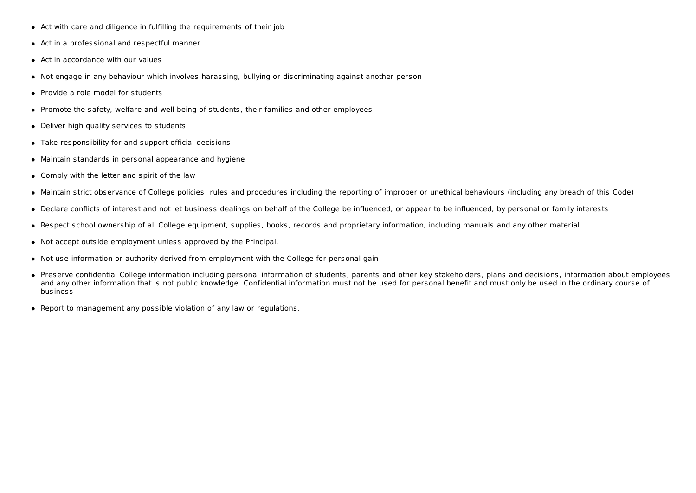- Act with care and diligence in fulfilling the requirements of their job
- Act in a professional and respectful manner
- Act in accordance with our values
- Not engage in any behaviour which involves harassing, bullying or discriminating against another person
- Provide a role model for students
- Promote the safety, welfare and well-being of students, their families and other employees
- Deliver high quality services to students
- Take responsibility for and support official decisions
- Maintain standards in personal appearance and hygiene
- Comply with the letter and spirit of the law
- Maintain strict observance of College policies, rules and procedures including the reporting of improper or unethical behaviours (including any breach of this Code)
- Declare conflicts of interest and not let business dealings on behalf of the College be influenced, or appear to be influenced, by personal or family interests
- Respect school ownership of all College equipment, supplies, books, records and proprietary information, including manuals and any other material
- Not accept outside employment unless approved by the Principal.
- Not use information or authority derived from employment with the College for personal gain
- Preserve confidential College information including personal information of students, parents and other key stakeholders, plans and decisions, information about employees and any other information that is not public knowledge. Confidential information must not be used for personal benefit and must only be used in the ordinary course of business
- Report to management any possible violation of any law or regulations.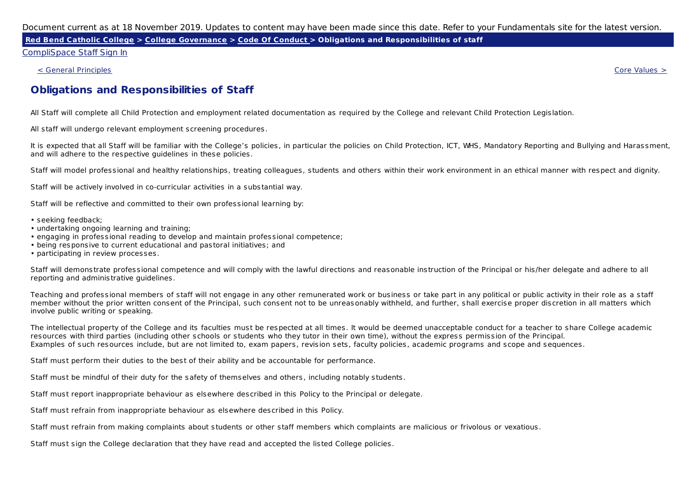Red Bend Catholic College > College Governance > Code Of Conduct > Obligations and Responsibilities of staff

CompliSpace Staff Sign In

< General Principles Core Values >

## **Obligations and Responsibilities of Staff**

All Staff will complete all Child Protection and employment related documentation as required by the College and relevant Child Protection Legislation.

All staff will undergo relevant employment screening procedures.

It is expected that all Staff will be familiar with the College's policies, in particular the policies on Child Protection, ICT, WHS, Mandatory Reporting and Bullying and Harassment, and will adhere to the respective guidelines in these policies.

Staff will model professional and healthy relationships, treating colleagues, students and others within their work environment in an ethical manner with respect and dignity.

Staff will be actively involved in co-curricular activities in a substantial way.

Staff will be reflective and committed to their own professional learning by:

- seeking feedback;
- undertaking ongoing learning and training;
- engaging in professional reading to develop and maintain professional competence;
- being responsive to current educational and pastoral initiatives; and
- participating in review processes.

Staff will demonstrate professional competence and will comply with the lawful directions and reasonable instruction of the Principal or his/her delegate and adhere to all reporting and administrative guidelines.

Teaching and professional members of staff will not engage in any other remunerated work or business or take part in any political or public activity in their role as a staff member without the prior written consent of the Principal, such consent not to be unreasonably withheld, and further, shall exercise proper discretion in all matters which involve public writing or speaking.

The intellectual property of the College and its faculties must be respected at all times. It would be deemed unacceptable conduct for a teacher to share College academic resources with third parties (including other schools or students who they tutor in their own time), without the express permission of the Principal. Examples of such resources include, but are not limited to, exam papers, revision sets, faculty policies, academic programs and scope and sequences.

Staff must perform their duties to the best of their ability and be accountable for performance.

Staff must be mindful of their duty for the safety of themselves and others, including notably students.

Staff must report inappropriate behaviour as elsewhere described in this Policy to the Principal or delegate.

Staff must refrain from inappropriate behaviour as elsewhere described in this Policy.

Staff must refrain from making complaints about students or other staff members which complaints are malicious or frivolous or vexatious.

Staff must sign the College declaration that they have read and accepted the listed College policies.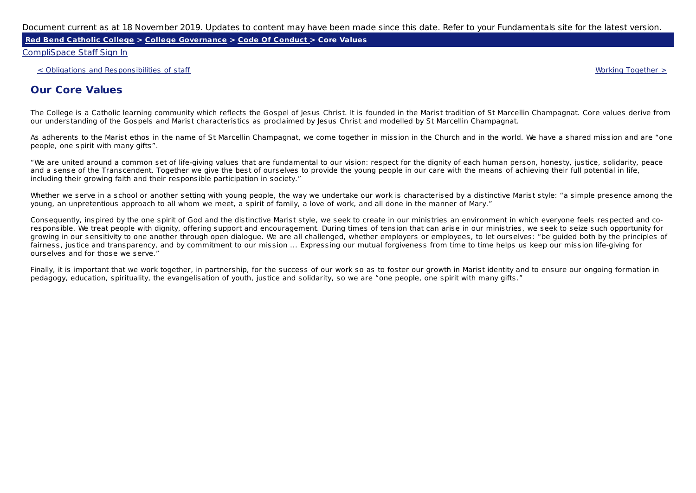**Red Bend Catholic College > College Governance > Code Of Conduct > Core Values**

CompliSpace Staff Sign In

< Obligations and Responsibilities of staff Working Together >

# **Our Core Values**

The College is a Catholic learning community which reflects the Gospel of Jesus Christ. It is founded in the Marist tradition of St Marcellin Champagnat. Core values derive from our understanding of the Gospels and Marist characteristics as proclaimed by Jesus Christ and modelled by St Marcellin Champagnat.

As adherents to the Marist ethos in the name of St Marcellin Champagnat, we come together in mission in the Church and in the world. We have a shared mission and are "one people, one spirit with many gifts".

"We are united around a common set of life-giving values that are fundamental to our vision: respect for the dignity of each human person, honesty, justice, solidarity, peace and a sense of the Transcendent. Together we give the best of ourselves to provide the young people in our care with the means of achieving their full potential in life, including their growing faith and their responsible participation in society."

Whether we serve in a school or another setting with young people, the way we undertake our work is characterised by a distinctive Marist style: "a simple presence among the young, an unpretentious approach to all whom we meet, a spirit of family, a love of work, and all done in the manner of Mary."

Consequently, inspired by the one spirit of God and the distinctive Marist style, we seek to create in our ministries an environment in which everyone feels respected and coresponsible. We treat people with dignity, offering support and encouragement. During times of tension that can arise in our ministries, we seek to seize such opportunity for growing in our sensitivity to one another through open dialogue. We are all challenged, whether employers or employees, to let ourselves: "be guided both by the principles of fairness, justice and transparency, and by commitment to our mission ... Expressing our mutual forgiveness from time to time helps us keep our mission life-giving for ourselves and for those we serve."

Finally, it is important that we work together, in partnership, for the success of our work so as to foster our growth in Marist identity and to ensure our ongoing formation in pedagogy, education, spirituality, the evangelisation of youth, justice and solidarity, so we are "one people, one spirit with many gifts."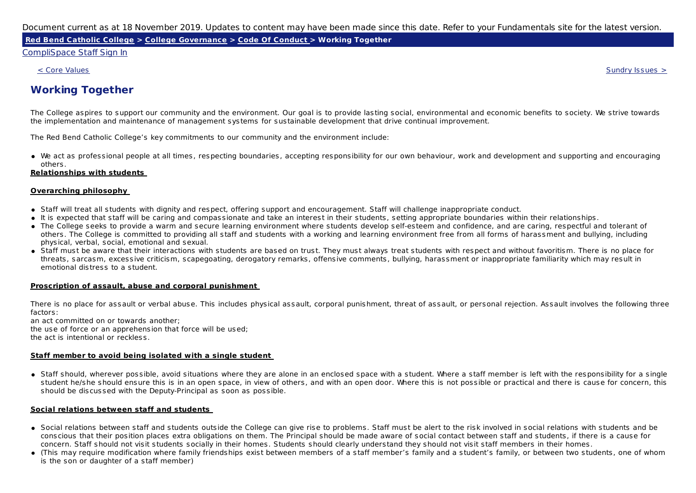**Red Bend Catholic College > College Governance > Code Of Conduct > Working Together**

#### CompliSpace Staff Sign In

 $\le$  Core Values  $\ge$ 

# **Working Together**

The College aspires to support our community and the environment. Our goal is to provide lasting social, environmental and economic benefits to society. We strive towards the implementation and maintenance of management systems for sustainable development that drive continual improvement.

The Red Bend Catholic College's key commitments to our community and the environment include:

We act as professional people at all times, respecting boundaries, accepting responsibility for our own behaviour, work and development and supporting and encouraging others.

#### **Relationships with students**

#### **Overarching philosophy**

- Staff will treat all students with dignity and respect, offering support and encouragement. Staff will challenge inappropriate conduct.
- It is expected that staff will be caring and compassionate and take an interest in their students, setting appropriate boundaries within their relationships.
- The College seeks to provide a warm and secure learning environment where students develop self-esteem and confidence, and are caring, respectful and tolerant of others. The College is committed to providing all staff and students with a working and learning environment free from all forms of harassment and bullying, including physical, verbal, social, emotional and sexual.
- Staff must be aware that their interactions with students are based on trust. They must always treat students with respect and without favoritism. There is no place for threats, sarcasm, excessive criticism, scapegoating, derogatory remarks, offensive comments, bullying, harassment or inappropriate familiarity which may result in emotional distress to a student.

#### **Proscription of assault, abuse and corporal punishment**

There is no place for assault or verbal abuse. This includes physical assault, corporal punishment, threat of assault, or personal rejection. Assault involves the following three factors:

an act committed on or towards another; the use of force or an apprehension that force will be used; the act is intentional or reckless.

#### **Staff member to avoid being isolated with a single student**

• Staff should, wherever possible, avoid situations where they are alone in an enclosed space with a student. Where a staff member is left with the responsibility for a single student he/she should ensure this is in an open space, in view of others, and with an open door. Where this is not possible or practical and there is cause for concern, this should be discussed with the Deputy-Principal as soon as possible.

#### **Social relations between staff and students**

- Social relations between staff and students outside the College can give rise to problems. Staff must be alert to the risk involved in social relations with students and be conscious that their position places extra obligations on them. The Principal should be made aware of social contact between staff and students, if there is a cause for concern. Staff should not visit students socially in their homes. Students should clearly understand they should not visit staff members in their homes.
- (This may require modification where family friendships exist between members of a staff member's family and a student's family, or between two students, one of whom is the son or daughter of a staff member)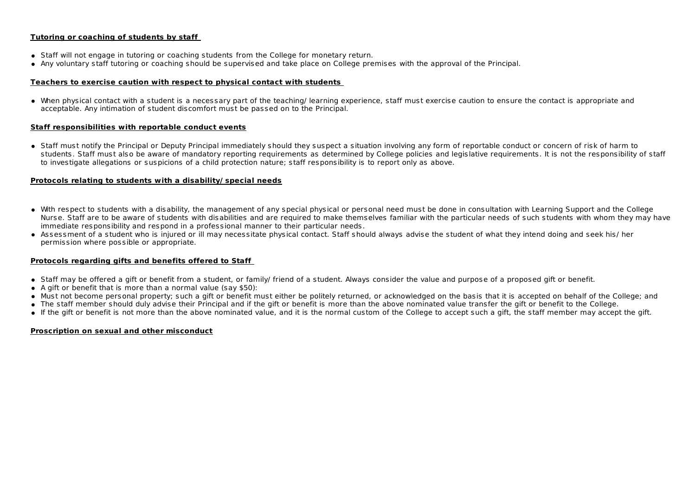#### **Tutoring or coaching of students by staff**

- Staff will not engage in tutoring or coaching students from the College for monetary return.
- Any voluntary staff tutoring or coaching should be supervised and take place on College premises with the approval of the Principal.

#### **Teachers to exercise caution with respect to physical contact with students**

When physical contact with a student is a necessary part of the teaching/ learning experience, staff must exercise caution to ensure the contact is appropriate and acceptable. Any intimation of student discomfort must be passed on to the Principal.

#### **Staff responsibilities with reportable conduct events**

Staff must notify the Principal or Deputy Principal immediately should they suspect a situation involving any form of reportable conduct or concern of risk of harm to students. Staff must also be aware of mandatory reporting requirements as determined by College policies and legislative requirements. It is not the responsibility of staff to investigate allegations or suspicions of a child protection nature; staff responsibility is to report only as above.

#### **Protocols relating to students with a disability/ special needs**

- With respect to students with a disability, the management of any special physical or personal need must be done in consultation with Learning Support and the College Nurse. Staff are to be aware of students with disabilities and are required to make themselves familiar with the particular needs of such students with whom they may have immediate responsibility and respond in a professional manner to their particular needs.
- Assessment of a student who is injured or ill may necessitate physical contact. Staff should always advise the student of what they intend doing and seek his/ her permission where possible or appropriate.

#### **Protocols regarding gifts and benefits offered to Staff**

- Staff may be offered a gift or benefit from a student, or family/ friend of a student. Always consider the value and purpose of a proposed gift or benefit.
- A gift or benefit that is more than a normal value (say \$50):
- Must not become personal property; such a gift or benefit must either be politely returned, or acknowledged on the basis that it is accepted on behalf of the College; and
- The staff member should duly advise their Principal and if the gift or benefit is more than the above nominated value transfer the gift or benefit to the College.
- If the gift or benefit is not more than the above nominated value, and it is the normal custom of the College to accept such a gift, the staff member may accept the gift.

### **Proscription on sexual and other misconduct**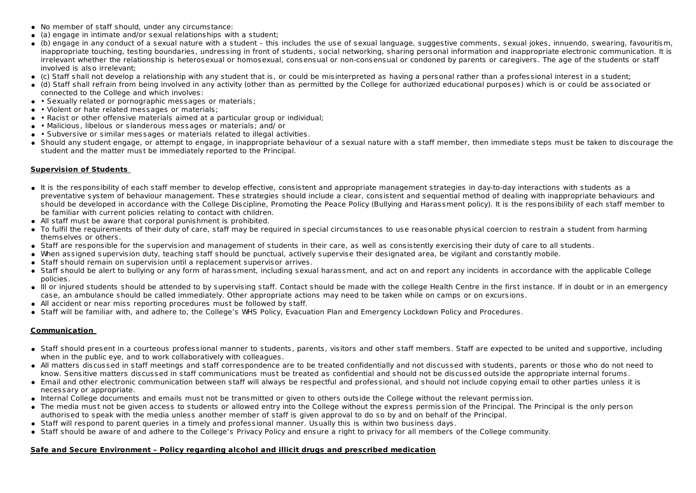- No member of staff should, under any circumstance:
- (a) engage in intimate and/or sexual relationships with a student;
- (b) engage in any conduct of a sexual nature with a student this includes the use of sexual language, suggestive comments, sexual jokes, innuendo, swearing, favouritism, inappropriate touching, testing boundaries, undressing in front of students, social networking, sharing personal information and inappropriate electronic communication. It is irrelevant whether the relationship is heterosexual or homosexual, consensual or non-consensual or condoned by parents or caregivers. The age of the students or staff involved is also irrelevant;
- (c) Staff shall not develop a relationship with any student that is, or could be misinterpreted as having a personal rather than a professional interest in a student;
- (d) Staff shall refrain from being involved in any activity (other than as permitted by the College for authorized educational purposes) which is or could be associated or connected to the College and which involves:
- Sexually related or pornographic messages or materials:
- • Violent or hate related messages or materials:
- Racist or other offensive materials aimed at a particular group or individual;
- Malicious, libelous or slanderous messages or materials; and/ or
- Subversive or similar messages or materials related to illegal activities.
- Should any student engage, or attempt to engage, in inappropriate behaviour of a sexual nature with a staff member, then immediate steps must be taken to discourage the student and the matter must be immediately reported to the Principal.

#### **Supervision of Students**

- It is the responsibility of each staff member to develop effective, consistent and appropriate management strategies in day-to-day interactions with students as a preventative system of behaviour management. These strategies should include a clear, consistent and sequential method of dealing with inappropriate behaviours and should be developed in accordance with the College Discipline, Promoting the Peace Policy (Bullying and Harassment policy). It is the responsibility of each staff member to be familiar with current policies relating to contact with children.
- All staff must be aware that corporal punishment is prohibited.
- To fulfil the requirements of their duty of care, staff may be required in special circumstances to use reasonable physical coercion to restrain a student from harming themselves or others.
- Staff are responsible for the supervision and management of students in their care, as well as consistently exercising their duty of care to all students.
- When assigned supervision duty, teaching staff should be punctual, actively supervise their designated area, be vigilant and constantly mobile.
- Staff should remain on supervision until a replacement supervisor arrives.
- Staff should be alert to bullying or any form of harassment, including sexual harassment, and act on and report any incidents in accordance with the applicable College policies.
- Ill or iniured students should be attended to by supervising staff. Contact should be made with the college Health Centre in the first instance. If in doubt or in an emergency case, an ambulance should be called immediately. Other appropriate actions may need to be taken while on camps or on excursions.
- All accident or near miss reporting procedures must be followed by staff.
- Staff will be familiar with, and adhere to, the College's WHS Policy, Evacuation Plan and Emergency Lockdown Policy and Procedures.

#### **Communication**

- Staff should present in a courteous professional manner to students, parents, visitors and other staff members. Staff are expected to be united and supportive, including when in the public eye, and to work collaboratively with colleagues.
- All matters discussed in staff meetings and staff correspondence are to be treated confidentially and not discussed with students, parents or those who do not need to know. Sensitive matters discussed in staff communications must be treated as confidential and should not be discussed outside the appropriate internal forums.
- Email and other electronic communication between staff will always be respectful and professional, and should not include copying email to other parties unless it is necessary or appropriate.
- Internal College documents and emails must not be transmitted or given to others outside the College without the relevant permission.
- The media must not be given access to students or allowed entry into the College without the express permission of the Principal. The Principal is the only person authorised to speak with the media unless another member of staff is given approval to do so by and on behalf of the Principal.
- Staff will respond to parent queries in a timely and professional manner. Usually this is within two business days.
- Staff should be aware of and adhere to the College's Privacy Policy and ensure a right to privacy for all members of the College community.

#### **Safe and Secure Environment – Policy regarding alcohol and illicit drugs and prescribed medication**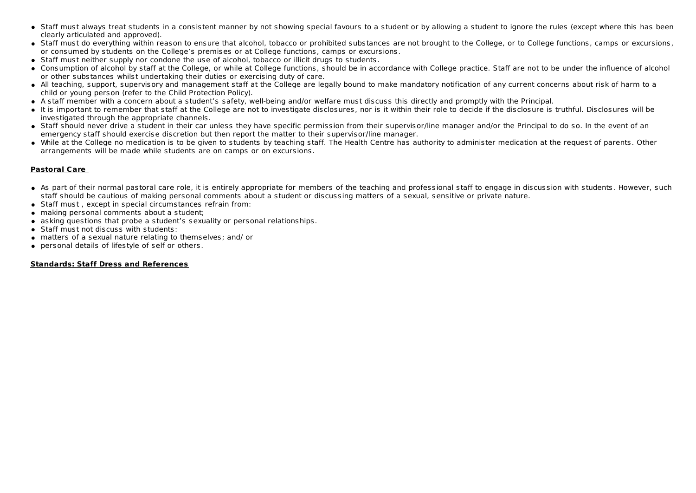- Staff must always treat students in a consistent manner by not showing special favours to a student or by allowing a student to ignore the rules (except where this has been clearly articulated and approved).
- Staff must do everything within reason to ensure that alcohol, tobacco or prohibited substances are not brought to the College, or to College functions, camps or excursions, or consumed by students on the College's premises or at College functions, camps or excursions.
- Staff must neither supply nor condone the use of alcohol, tobacco or illicit drugs to students.
- Consumption of alcohol by staff at the College, or while at College functions, should be in accordance with College practice. Staff are not to be under the influence of alcohol or other substances whilst undertaking their duties or exercising duty of care.
- All teaching, support, supervisory and management staff at the College are legally bound to make mandatory notification of any current concerns about risk of harm to a child or young person (refer to the Child Protection Policy).
- A staff member with a concern about a student's safety, well-being and/or welfare must discuss this directly and promptly with the Principal.
- It is important to remember that staff at the College are not to investigate disclosures, nor is it within their role to decide if the disclosure is truthful. Disclosures will be investigated through the appropriate channels.
- Staff should never drive a student in their car unless they have specific permission from their supervisor/line manager and/or the Principal to do so. In the event of an emergency staff should exercise discretion but then report the matter to their supervisor/line manager.
- While at the College no medication is to be given to students by teaching staff. The Health Centre has authority to administer medication at the request of parents. Other arrangements will be made while students are on camps or on excursions.

### **Pastoral Care**

- As part of their normal pastoral care role, it is entirely appropriate for members of the teaching and professional staff to engage in discussion with students. However, such staff should be cautious of making personal comments about a student or discussing matters of a sexual, sensitive or private nature.
- Staff must , except in special circumstances refrain from:
- making personal comments about a student;
- asking questions that probe a student's sexuality or personal relationships.
- Staff must not discuss with students:
- matters of a sexual nature relating to themselves; and/ or
- personal details of lifestyle of self or others.

#### **Standards: Staff Dress and References**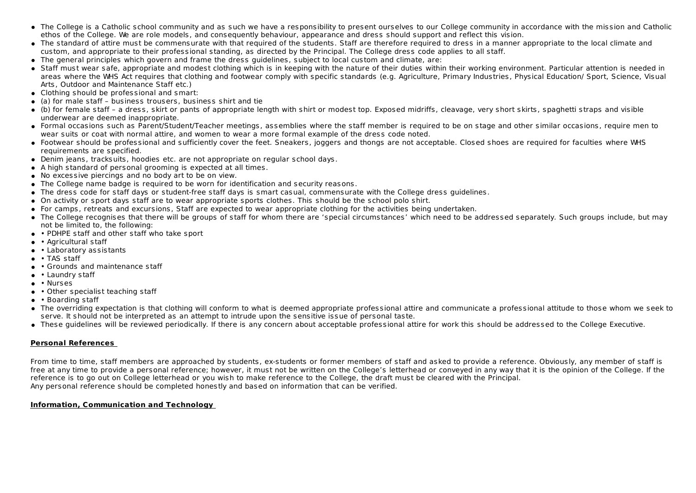- The College is a Catholic school community and as such we have a responsibility to present ourselves to our College community in accordance with the mission and Catholic ethos of the College. We are role models, and consequently behaviour, appearance and dress should support and reflect this vision.
- The standard of attire must be commensurate with that required of the students. Staff are therefore required to dress in a manner appropriate to the local climate and custom, and appropriate to their professional standing, as directed by the Principal. The College dress code applies to all staff.
- The general principles which govern and frame the dress guidelines, subject to local custom and climate, are:
- Staff must wear safe, appropriate and modest clothing which is in keeping with the nature of their duties within their working environment. Particular attention is needed in areas where the WHS Act requires that clothing and footwear comply with specific standards (e.g. Agriculture, Primary Industries, Physical Education/ Sport, Science, Visual Arts, Outdoor and Maintenance Staff etc.)
- Clothing should be professional and smart:
- (a) for male staff business trousers, business shirt and tie
- (b) for female staff a dress, skirt or pants of appropriate length with shirt or modest top. Exposed midriffs, cleavage, very short skirts, spaghetti straps and visible underwear are deemed inappropriate.
- Formal occasions such as Parent/Student/Teacher meetings, assemblies where the staff member is required to be on stage and other similar occasions, require men to wear suits or coat with normal attire, and women to wear a more formal example of the dress code noted.
- Footwear should be professional and sufficiently cover the feet. Sneakers, joggers and thongs are not acceptable. Closed shoes are required for faculties where WHS requirements are specified.
- Denim jeans, tracksuits, hoodies etc. are not appropriate on regular school days.
- A high standard of personal grooming is expected at all times.
- No excessive piercings and no body art to be on view.
- The College name badge is required to be worn for identification and security reasons.
- The dress code for staff days or student-free staff days is smart casual, commensurate with the College dress guidelines.
- On activity or sport days staff are to wear appropriate sports clothes. This should be the school polo shirt.
- For camps, retreats and excursions, Staff are expected to wear appropriate clothing for the activities being undertaken.
- The College recognises that there will be groups of staff for whom there are 'special circumstances' which need to be addressed separately. Such groups include, but may not be limited to, the following:
- • PDHPE staff and other staff who take sport
- Agricultural staff
- Laboratory assistants
- TAS staff
- Grounds and maintenance staff
- Laundry staff
- Nurses
- Other specialist teaching staff
- Boarding staff
- The overriding expectation is that clothing will conform to what is deemed appropriate professional attire and communicate a professional attitude to those whom we seek to serve. It should not be interpreted as an attempt to intrude upon the sensitive issue of personal taste.
- These guidelines will be reviewed periodically. If there is any concern about acceptable professional attire for work this should be addressed to the College Executive.

#### **Personal References**

From time to time, staff members are approached by students, ex-students or former members of staff and asked to provide a reference. Obviously, any member of staff is free at any time to provide a personal reference; however, it must not be written on the College's letterhead or conveyed in any way that it is the opinion of the College. If the reference is to go out on College letterhead or you wish to make reference to the College, the draft must be cleared with the Principal. Any personal reference should be completed honestly and based on information that can be verified.

#### **Information, Communication and Technology**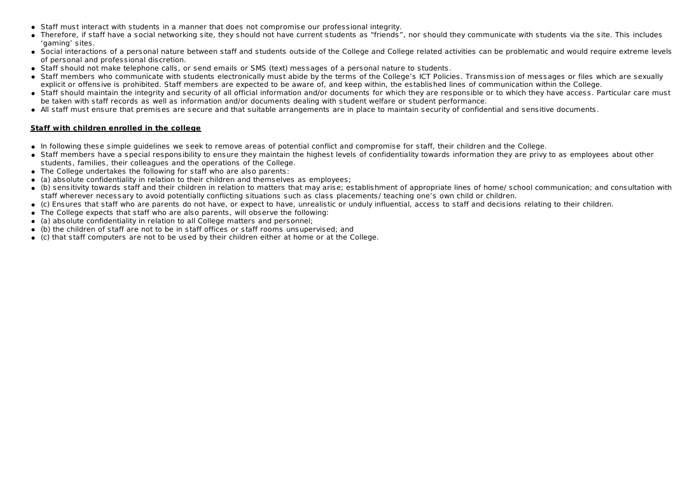- Staff must interact with students in a manner that does not compromise our professional integrity.
- Therefore, if staff have a social networking site, they should not have current students as "friends", nor should they communicate with students via the site. This includes 'gaming' sites.
- Social interactions of a personal nature between staff and students outside of the College and College related activities can be problematic and would require extreme levels of personal and professional discretion.
- Staff should not make telephone calls, or send emails or SMS (text) messages of a personal nature to students.
- Staff members who communicate with students electronically must abide by the terms of the College's ICT Policies. Transmission of messages or files which are sexually explicit or offensive is prohibited. Staff members are expected to be aware of, and keep within, the established lines of communication within the College.
- Staff should maintain the integrity and security of all official information and/or documents for which they are responsible or to which they have access. Particular care must be taken with staff records as well as information and/or documents dealing with student welfare or student performance.
- All staff must ensure that premises are secure and that suitable arrangements are in place to maintain security of confidential and sensitive documents.

#### **Staff with children enrolled in the college**

- In following these simple guidelines we seek to remove areas of potential conflict and compromise for staff, their children and the College.
- Staff members have a special responsibility to ensure they maintain the highest levels of confidentiality towards information they are privy to as employees about other students, families, their colleagues and the operations of the College.
- The College undertakes the following for staff who are also parents:
- (a) absolute confidentiality in relation to their children and themselves as employees;
- (b) sensitivity towards staff and their children in relation to matters that may arise; establishment of appropriate lines of home/ school communication; and consultation with staff wherever necessary to avoid potentially conflicting situations such as class placements/ teaching one's own child or children.
- (c) Ensures that staff who are parents do not have, or expect to have, unrealistic or unduly influential, access to staff and decisions relating to their children.
- The College expects that staff who are also parents, will observe the following:
- (a) absolute confidentiality in relation to all College matters and personnel;
- (b) the children of staff are not to be in staff offices or staff rooms unsupervised; and
- (c) that staff computers are not to be used by their children either at home or at the College.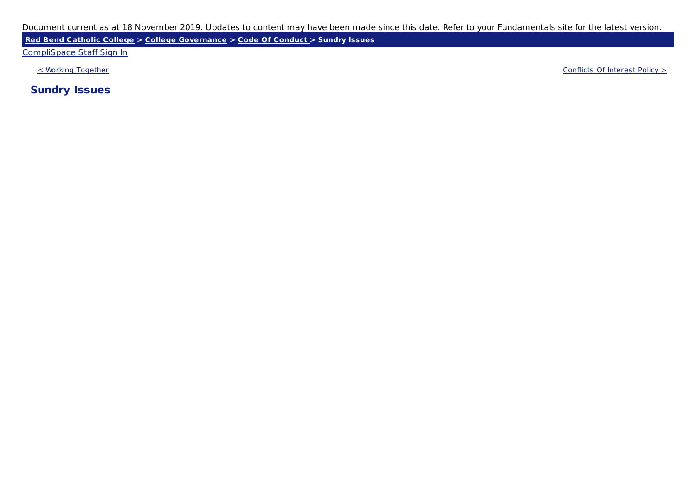**Red Bend Catholic College > College Governance > Code Of Conduct > Sundry Issues**

### CompliSpace Staff Sign In

< Working Together Conflicts Of Interest Policy >

**Sundry Issues**